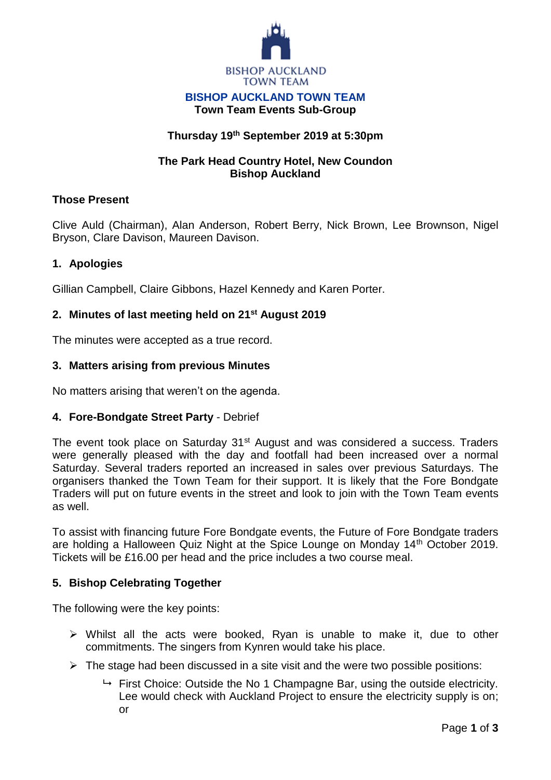

#### **BISHOP AUCKLAND TOWN TEAM Town Team Events Sub-Group**

# **Thursday 19th September 2019 at 5:30pm**

### **The Park Head Country Hotel, New Coundon Bishop Auckland**

### **Those Present**

Clive Auld (Chairman), Alan Anderson, Robert Berry, Nick Brown, Lee Brownson, Nigel Bryson, Clare Davison, Maureen Davison.

## **1. Apologies**

Gillian Campbell, Claire Gibbons, Hazel Kennedy and Karen Porter.

### **2. Minutes of last meeting held on 21st August 2019**

The minutes were accepted as a true record.

### **3. Matters arising from previous Minutes**

No matters arising that weren't on the agenda.

### **4. Fore-Bondgate Street Party** - Debrief

The event took place on Saturday 31<sup>st</sup> August and was considered a success. Traders were generally pleased with the day and footfall had been increased over a normal Saturday. Several traders reported an increased in sales over previous Saturdays. The organisers thanked the Town Team for their support. It is likely that the Fore Bondgate Traders will put on future events in the street and look to join with the Town Team events as well.

To assist with financing future Fore Bondgate events, the Future of Fore Bondgate traders are holding a Halloween Quiz Night at the Spice Lounge on Monday 14th October 2019. Tickets will be £16.00 per head and the price includes a two course meal.

### **5. Bishop Celebrating Together**

The following were the key points:

- $\triangleright$  Whilst all the acts were booked, Ryan is unable to make it, due to other commitments. The singers from Kynren would take his place.
- $\triangleright$  The stage had been discussed in a site visit and the were two possible positions:
	- $\rightarrow$  First Choice: Outside the No 1 Champagne Bar, using the outside electricity. Lee would check with Auckland Project to ensure the electricity supply is on: or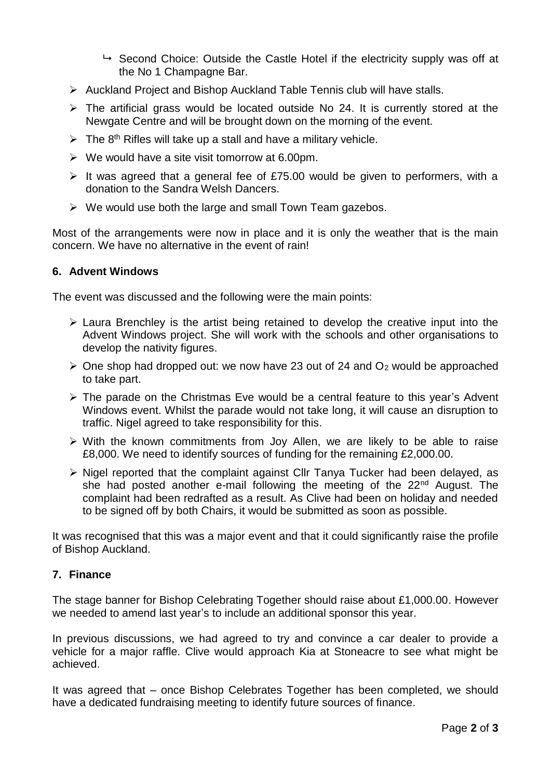- $\rightarrow$  Second Choice: Outside the Castle Hotel if the electricity supply was off at the No 1 Champagne Bar.
- Auckland Project and Bishop Auckland Table Tennis club will have stalls.
- $\triangleright$  The artificial grass would be located outside No 24. It is currently stored at the Newgate Centre and will be brought down on the morning of the event.
- $\triangleright$  The 8<sup>th</sup> Rifles will take up a stall and have a military vehicle.
- $\triangleright$  We would have a site visit tomorrow at 6.00pm.
- $\triangleright$  It was agreed that a general fee of £75.00 would be given to performers, with a donation to the Sandra Welsh Dancers.
- $\triangleright$  We would use both the large and small Town Team gazebos.

Most of the arrangements were now in place and it is only the weather that is the main concern. We have no alternative in the event of rain!

#### **6. Advent Windows**

The event was discussed and the following were the main points:

- $\triangleright$  Laura Brenchley is the artist being retained to develop the creative input into the Advent Windows project. She will work with the schools and other organisations to develop the nativity figures.
- $\geq$  One shop had dropped out: we now have 23 out of 24 and O<sub>2</sub> would be approached to take part.
- $\triangleright$  The parade on the Christmas Eve would be a central feature to this year's Advent Windows event. Whilst the parade would not take long, it will cause an disruption to traffic. Nigel agreed to take responsibility for this.
- $\triangleright$  With the known commitments from Joy Allen, we are likely to be able to raise £8,000. We need to identify sources of funding for the remaining £2,000.00.
- $\triangleright$  Nigel reported that the complaint against Cllr Tanya Tucker had been delayed, as she had posted another e-mail following the meeting of the  $22<sup>nd</sup>$  August. The complaint had been redrafted as a result. As Clive had been on holiday and needed to be signed off by both Chairs, it would be submitted as soon as possible.

It was recognised that this was a major event and that it could significantly raise the profile of Bishop Auckland.

### **7. Finance**

The stage banner for Bishop Celebrating Together should raise about £1,000.00. However we needed to amend last year's to include an additional sponsor this year.

In previous discussions, we had agreed to try and convince a car dealer to provide a vehicle for a major raffle. Clive would approach Kia at Stoneacre to see what might be achieved.

It was agreed that – once Bishop Celebrates Together has been completed, we should have a dedicated fundraising meeting to identify future sources of finance.